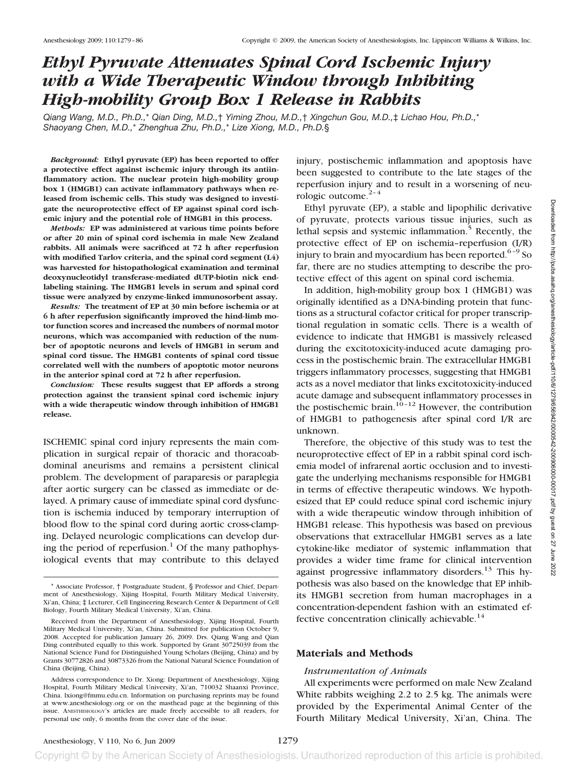# *Ethyl Pyruvate Attenuates Spinal Cord Ischemic Injury with a Wide Therapeutic Window through Inhibiting High-mobility Group Box 1 Release in Rabbits*

*Qiang Wang, M.D., Ph.D.,*\* *Qian Ding, M.D.,*† *Yiming Zhou, M.D.,*† *Xingchun Gou, M.D.,*‡ *Lichao Hou, Ph.D.,*\* *Shaoyang Chen, M.D.,*\* *Zhenghua Zhu, Ph.D.,*\* *Lize Xiong, M.D., Ph.D.*§

*Background:* **Ethyl pyruvate (EP) has been reported to offer a protective effect against ischemic injury through its antiinflammatory action. The nuclear protein high-mobility group box 1 (HMGB1) can activate inflammatory pathways when released from ischemic cells. This study was designed to investigate the neuroprotective effect of EP against spinal cord ischemic injury and the potential role of HMGB1 in this process.**

*Methods:* **EP was administered at various time points before or after 20 min of spinal cord ischemia in male New Zealand rabbits. All animals were sacrificed at 72 h after reperfusion with modified Tarlov criteria, and the spinal cord segment (L4) was harvested for histopathological examination and terminal deoxynucleotidyl transferase-mediated dUTP-biotin nick endlabeling staining. The HMGB1 levels in serum and spinal cord tissue were analyzed by enzyme-linked immunosorbent assay.**

*Results:* **The treatment of EP at 30 min before ischemia or at 6 h after reperfusion significantly improved the hind-limb motor function scores and increased the numbers of normal motor neurons, which was accompanied with reduction of the number of apoptotic neurons and levels of HMGB1 in serum and spinal cord tissue. The HMGB1 contents of spinal cord tissue correlated well with the numbers of apoptotic motor neurons in the anterior spinal cord at 72 h after reperfusion.**

*Conclusion:* **These results suggest that EP affords a strong protection against the transient spinal cord ischemic injury with a wide therapeutic window through inhibition of HMGB1 release.**

ISCHEMIC spinal cord injury represents the main complication in surgical repair of thoracic and thoracoabdominal aneurisms and remains a persistent clinical problem. The development of paraparesis or paraplegia after aortic surgery can be classed as immediate or delayed. A primary cause of immediate spinal cord dysfunction is ischemia induced by temporary interruption of blood flow to the spinal cord during aortic cross-clamping. Delayed neurologic complications can develop during the period of reperfusion.<sup>1</sup> Of the many pathophysiological events that may contribute to this delayed

injury, postischemic inflammation and apoptosis have been suggested to contribute to the late stages of the reperfusion injury and to result in a worsening of neurologic outcome. $2-4$ 

Ethyl pyruvate (EP), a stable and lipophilic derivative of pyruvate, protects various tissue injuries, such as lethal sepsis and systemic inflammation. $5$  Recently, the protective effect of EP on ischemia–reperfusion (I/R) injury to brain and myocardium has been reported. $6-9$  So far, there are no studies attempting to describe the protective effect of this agent on spinal cord ischemia.

In addition, high-mobility group box 1 (HMGB1) was originally identified as a DNA-binding protein that functions as a structural cofactor critical for proper transcriptional regulation in somatic cells. There is a wealth of evidence to indicate that HMGB1 is massively released during the excitotoxicity-induced acute damaging process in the postischemic brain. The extracellular HMGB1 triggers inflammatory processes, suggesting that HMGB1 acts as a novel mediator that links excitotoxicity-induced acute damage and subsequent inflammatory processes in the postischemic brain. $10^{-12}$  However, the contribution of HMGB1 to pathogenesis after spinal cord I/R are unknown.

Therefore, the objective of this study was to test the neuroprotective effect of EP in a rabbit spinal cord ischemia model of infrarenal aortic occlusion and to investigate the underlying mechanisms responsible for HMGB1 in terms of effective therapeutic windows. We hypothesized that EP could reduce spinal cord ischemic injury with a wide therapeutic window through inhibition of HMGB1 release. This hypothesis was based on previous observations that extracellular HMGB1 serves as a late cytokine-like mediator of systemic inflammation that provides a wider time frame for clinical intervention against progressive inflammatory disorders.<sup>13</sup> This hypothesis was also based on the knowledge that EP inhibits HMGB1 secretion from human macrophages in a concentration-dependent fashion with an estimated effective concentration clinically achievable.<sup>14</sup>

## **Materials and Methods**

#### *Instrumentation of Animals*

All experiments were performed on male New Zealand White rabbits weighing 2.2 to 2.5 kg. The animals were provided by the Experimental Animal Center of the Fourth Military Medical University, Xi'an, China. The

<sup>\*</sup> Associate Professor, † Postgraduate Student, § Professor and Chief, Department of Anesthesiology, Xijing Hospital, Fourth Military Medical University, Xi'an, China; ‡ Lecturer, Cell Engineering Research Center & Department of Cell Biology, Fourth Military Medical University, Xi'an, China.

Received from the Department of Anesthesiology, Xijing Hospital, Fourth Military Medical University, Xi'an, China. Submitted for publication October 9, 2008. Accepted for publication January 26, 2009. Drs. Qiang Wang and Qian Ding contributed equally to this work. Supported by Grant 30725039 from the National Science Fund for Distinguished Young Scholars (Beijing, China) and by Grants 30772826 and 30873326 from the National Natural Science Foundation of China (Beijing, China).

Address correspondence to Dr. Xiong: Department of Anesthesiology, Xijing Hospital, Fourth Military Medical University, Xi'an, 710032 Shaanxi Province, China. lxiong@fmmu.edu.cn. Information on purchasing reprints may be found at www.anesthesiology.org or on the masthead page at the beginning of this issue. ANESTHESIOLOGY's articles are made freely accessible to all readers, for personal use only, 6 months from the cover date of the issue.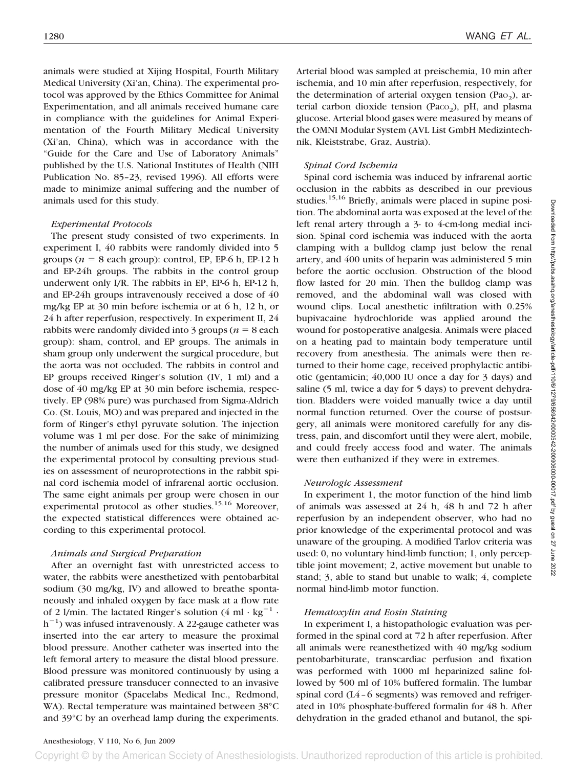animals were studied at Xijing Hospital, Fourth Military Medical University (Xi'an, China). The experimental protocol was approved by the Ethics Committee for Animal Experimentation, and all animals received humane care in compliance with the guidelines for Animal Experimentation of the Fourth Military Medical University (Xi'an, China), which was in accordance with the "Guide for the Care and Use of Laboratory Animals" published by the U.S. National Institutes of Health (NIH Publication No. 85–23, revised 1996). All efforts were made to minimize animal suffering and the number of animals used for this study.

#### *Experimental Protocols*

The present study consisted of two experiments. In experiment I, 40 rabbits were randomly divided into 5 groups ( $n = 8$  each group): control, EP, EP-6 h, EP-12 h and EP-24h groups. The rabbits in the control group underwent only I/R. The rabbits in EP, EP-6 h, EP-12 h, and EP-24h groups intravenously received a dose of 40 mg/kg EP at 30 min before ischemia or at 6 h, 12 h, or 24 h after reperfusion, respectively. In experiment II, 24 rabbits were randomly divided into 3 groups ( $n = 8$  each group): sham, control, and EP groups. The animals in sham group only underwent the surgical procedure, but the aorta was not occluded. The rabbits in control and EP groups received Ringer's solution (IV, 1 ml) and a dose of 40 mg/kg EP at 30 min before ischemia, respectively. EP (98% pure) was purchased from Sigma-Aldrich Co. (St. Louis, MO) and was prepared and injected in the form of Ringer's ethyl pyruvate solution. The injection volume was 1 ml per dose. For the sake of minimizing the number of animals used for this study, we designed the experimental protocol by consulting previous studies on assessment of neuroprotections in the rabbit spinal cord ischemia model of infrarenal aortic occlusion. The same eight animals per group were chosen in our experimental protocol as other studies.<sup>15,16</sup> Moreover, the expected statistical differences were obtained according to this experimental protocol.

#### *Animals and Surgical Preparation*

After an overnight fast with unrestricted access to water, the rabbits were anesthetized with pentobarbital sodium (30 mg/kg, IV) and allowed to breathe spontaneously and inhaled oxygen by face mask at a flow rate of 2 l/min. The lactated Ringer's solution  $(4 \text{ ml} \cdot \text{kg}^{-1} \cdot$ h<sup>-1</sup>) was infused intravenously. A 22-gauge catheter was inserted into the ear artery to measure the proximal blood pressure. Another catheter was inserted into the left femoral artery to measure the distal blood pressure. Blood pressure was monitored continuously by using a calibrated pressure transducer connected to an invasive pressure monitor (Spacelabs Medical Inc., Redmond, WA). Rectal temperature was maintained between 38°C and 39°C by an overhead lamp during the experiments. Arterial blood was sampled at preischemia, 10 min after ischemia, and 10 min after reperfusion, respectively, for the determination of arterial oxygen tension (Pa $o<sub>2</sub>$ ), arterial carbon dioxide tension (Paco<sub>2</sub>), pH, and plasma glucose. Arterial blood gases were measured by means of the OMNI Modular System (AVL List GmbH Medizintechnik, Kleiststrabe, Graz, Austria).

## *Spinal Cord Ischemia*

Spinal cord ischemia was induced by infrarenal aortic occlusion in the rabbits as described in our previous studies.<sup>15,16</sup> Briefly, animals were placed in supine position. The abdominal aorta was exposed at the level of the left renal artery through a 3- to 4-cm-long medial incision. Spinal cord ischemia was induced with the aorta clamping with a bulldog clamp just below the renal artery, and 400 units of heparin was administered 5 min before the aortic occlusion. Obstruction of the blood flow lasted for 20 min. Then the bulldog clamp was removed, and the abdominal wall was closed with wound clips. Local anesthetic infiltration with 0.25% bupivacaine hydrochloride was applied around the wound for postoperative analgesia. Animals were placed on a heating pad to maintain body temperature until recovery from anesthesia. The animals were then returned to their home cage, received prophylactic antibiotic (gentamicin; 40,000 IU once a day for 3 days) and saline (5 ml, twice a day for 5 days) to prevent dehydration. Bladders were voided manually twice a day until normal function returned. Over the course of postsurgery, all animals were monitored carefully for any distress, pain, and discomfort until they were alert, mobile, and could freely access food and water. The animals were then euthanized if they were in extremes.

## *Neurologic Assessment*

In experiment 1, the motor function of the hind limb of animals was assessed at 24 h, 48 h and 72 h after reperfusion by an independent observer, who had no prior knowledge of the experimental protocol and was unaware of the grouping. A modified Tarlov criteria was used: 0, no voluntary hind-limb function; 1, only perceptible joint movement; 2, active movement but unable to stand; 3, able to stand but unable to walk; 4, complete normal hind-limb motor function.

#### *Hematoxylin and Eosin Staining*

In experiment I, a histopathologic evaluation was performed in the spinal cord at 72 h after reperfusion. After all animals were reanesthetized with 40 mg/kg sodium pentobarbiturate, transcardiac perfusion and fixation was performed with 1000 ml heparinized saline followed by 500 ml of 10% buffered formalin. The lumbar spinal cord (L4–6 segments) was removed and refrigerated in 10% phosphate-buffered formalin for 48 h. After dehydration in the graded ethanol and butanol, the spi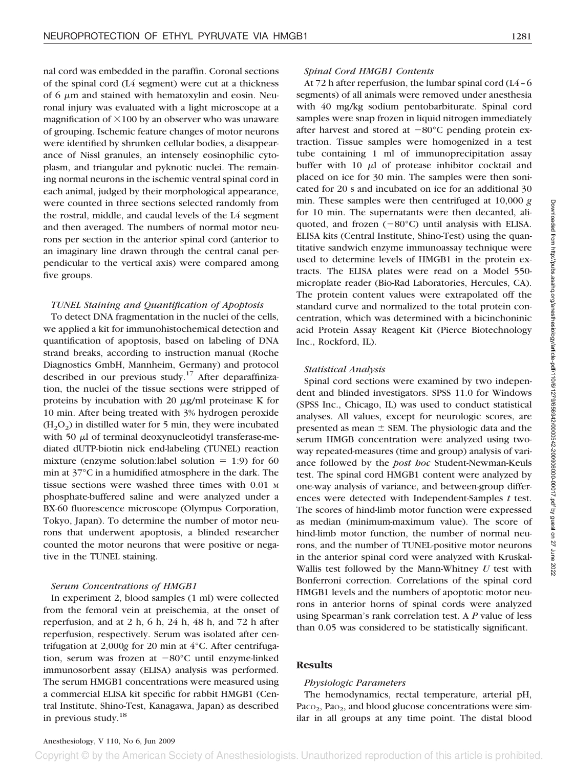nal cord was embedded in the paraffin. Coronal sections of the spinal cord (L4 segment) were cut at a thickness of 6  $\mu$ m and stained with hematoxylin and eosin. Neuronal injury was evaluated with a light microscope at a magnification of  $\times$ 100 by an observer who was unaware of grouping. Ischemic feature changes of motor neurons were identified by shrunken cellular bodies, a disappearance of Nissl granules, an intensely eosinophilic cytoplasm, and triangular and pyknotic nuclei. The remaining normal neurons in the ischemic ventral spinal cord in each animal, judged by their morphological appearance, were counted in three sections selected randomly from the rostral, middle, and caudal levels of the L4 segment and then averaged. The numbers of normal motor neurons per section in the anterior spinal cord (anterior to an imaginary line drawn through the central canal perpendicular to the vertical axis) were compared among five groups.

# *TUNEL Staining and Quantification of Apoptosis*

To detect DNA fragmentation in the nuclei of the cells, we applied a kit for immunohistochemical detection and quantification of apoptosis, based on labeling of DNA strand breaks, according to instruction manual (Roche Diagnostics GmbH, Mannheim, Germany) and protocol described in our previous study.<sup>17</sup> After deparaffinization, the nuclei of the tissue sections were stripped of proteins by incubation with 20  $\mu$ g/ml proteinase K for 10 min. After being treated with 3% hydrogen peroxide  $(H<sub>2</sub>O<sub>2</sub>)$  in distilled water for 5 min, they were incubated with 50  $\mu$ l of terminal deoxynucleotidyl transferase-mediated dUTP-biotin nick end-labeling (TUNEL) reaction mixture (enzyme solution:label solution  $= 1:9$ ) for 60 min at 37°C in a humidified atmosphere in the dark. The tissue sections were washed three times with 0.01 <sup>M</sup> phosphate-buffered saline and were analyzed under a BX-60 fluorescence microscope (Olympus Corporation, Tokyo, Japan). To determine the number of motor neurons that underwent apoptosis, a blinded researcher counted the motor neurons that were positive or negative in the TUNEL staining.

# *Serum Concentrations of HMGB1*

In experiment 2, blood samples (1 ml) were collected from the femoral vein at preischemia, at the onset of reperfusion, and at 2 h, 6 h, 24 h, 48 h, and 72 h after reperfusion, respectively. Serum was isolated after centrifugation at 2,000*g* for 20 min at 4°C. After centrifugation, serum was frozen at -80°C until enzyme-linked immunosorbent assay (ELISA) analysis was performed. The serum HMGB1 concentrations were measured using a commercial ELISA kit specific for rabbit HMGB1 (Central Institute, Shino-Test, Kanagawa, Japan) as described in previous study.18

#### *Spinal Cord HMGB1 Contents*

At 72 h after reperfusion, the lumbar spinal cord (L4–6 segments) of all animals were removed under anesthesia with 40 mg/kg sodium pentobarbiturate. Spinal cord samples were snap frozen in liquid nitrogen immediately after harvest and stored at  $-80^{\circ}$ C pending protein extraction. Tissue samples were homogenized in a test tube containing 1 ml of immunoprecipitation assay buffer with  $10 \mu l$  of protease inhibitor cocktail and placed on ice for 30 min. The samples were then sonicated for 20 s and incubated on ice for an additional 30 min. These samples were then centrifuged at 10,000 *g* for 10 min. The supernatants were then decanted, aliquoted, and frozen  $(-80^{\circ}C)$  until analysis with ELISA. ELISA kits (Central Institute, Shino-Test) using the quantitative sandwich enzyme immunoassay technique were used to determine levels of HMGB1 in the protein extracts. The ELISA plates were read on a Model 550 microplate reader (Bio-Rad Laboratories, Hercules, CA). The protein content values were extrapolated off the standard curve and normalized to the total protein concentration, which was determined with a bicinchoninic acid Protein Assay Reagent Kit (Pierce Biotechnology Inc., Rockford, IL).

## *Statistical Analysis*

Spinal cord sections were examined by two independent and blinded investigators. SPSS 11.0 for Windows (SPSS Inc., Chicago, IL) was used to conduct statistical analyses. All values, except for neurologic scores, are presented as mean  $\pm$  SEM. The physiologic data and the serum HMGB concentration were analyzed using twoway repeated-measures (time and group) analysis of variance followed by the *post hoc* Student-Newman-Keuls test. The spinal cord HMGB1 content were analyzed by one-way analysis of variance, and between-group differences were detected with Independent-Samples *t* test. The scores of hind-limb motor function were expressed as median (minimum-maximum value). The score of hind-limb motor function, the number of normal neurons, and the number of TUNEL-positive motor neurons in the anterior spinal cord were analyzed with Kruskal-Wallis test followed by the Mann-Whitney *U* test with Bonferroni correction. Correlations of the spinal cord HMGB1 levels and the numbers of apoptotic motor neurons in anterior horns of spinal cords were analyzed using Spearman's rank correlation test. A *P* value of less than 0.05 was considered to be statistically significant.

# **Results**

## *Physiologic Parameters*

The hemodynamics, rectal temperature, arterial pH,  $Paco<sub>2</sub>$ ,  $Pao<sub>2</sub>$ , and blood glucose concentrations were similar in all groups at any time point. The distal blood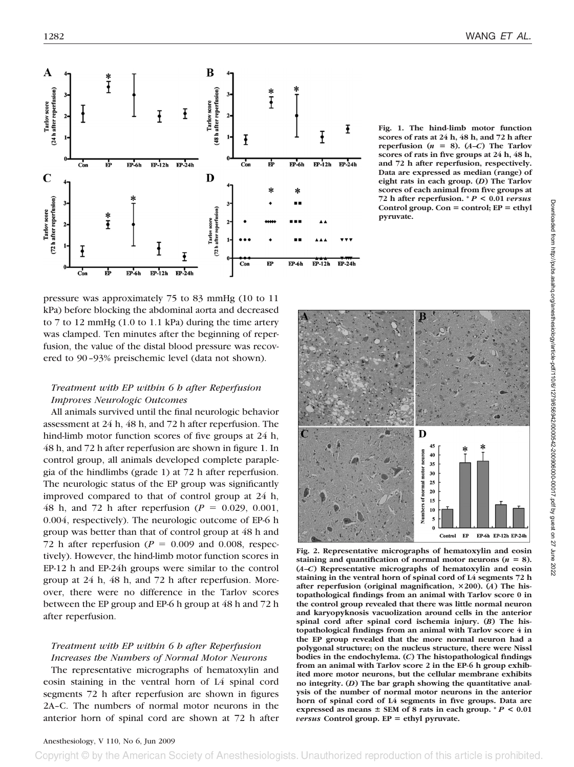

pressure was approximately 75 to 83 mmHg (10 to 11 kPa) before blocking the abdominal aorta and decreased to 7 to 12 mmHg (1.0 to 1.1 kPa) during the time artery was clamped. Ten minutes after the beginning of reperfusion, the value of the distal blood pressure was recovered to 90–93% preischemic level (data not shown).

# *Treatment with EP within 6 h after Reperfusion Improves Neurologic Outcomes*

All animals survived until the final neurologic behavior assessment at 24 h, 48 h, and 72 h after reperfusion. The hind-limb motor function scores of five groups at 24 h, 48 h, and 72 h after reperfusion are shown in figure 1. In control group, all animals developed complete paraplegia of the hindlimbs (grade 1) at 72 h after reperfusion. The neurologic status of the EP group was significantly improved compared to that of control group at 24 h, 48 h, and 72 h after reperfusion  $(P = 0.029, 0.001,$ 0.004, respectively). The neurologic outcome of EP-6 h group was better than that of control group at 48 h and 72 h after reperfusion ( $P = 0.009$  and 0.008, respectively). However, the hind-limb motor function scores in EP-12 h and EP-24h groups were similar to the control group at 24 h, 48 h, and 72 h after reperfusion. Moreover, there were no difference in the Tarlov scores between the EP group and EP-6 h group at 48 h and 72 h after reperfusion.

# *Treatment with EP within 6 h after Reperfusion Increases the Numbers of Normal Motor Neurons*

The representative micrographs of hematoxylin and eosin staining in the ventral horn of L4 spinal cord segments 72 h after reperfusion are shown in figures 2A–C. The numbers of normal motor neurons in the anterior horn of spinal cord are shown at 72 h after

**Fig. 1. The hind-limb motor function scores of rats at 24 h, 48 h, and 72 h after reperfusion**  $(n = 8)$ .  $(A-C)$  The Tarlov **scores of rats in five groups at 24 h, 48 h, and 72 h after reperfusion, respectively. Data are expressed as median (range) of eight rats in each group. (***D***) The Tarlov scores of each animal from five groups at 72 h after reperfusion. \*** *P* **< 0.01** *versus* **Control group. Con**  $=$  control;  $EP = ethyl$ **pyruvate.**



**Fig. 2. Representative micrographs of hematoxylin and eosin** staining and quantification of normal motor neurons  $(n = 8)$ . **(***A–C***) Representative micrographs of hematoxylin and eosin staining in the ventral horn of spinal cord of L4 segments 72 h** after reperfusion (original magnification,  $\times$  200). (*A*) The his**topathological findings from an animal with Tarlov score 0 in the control group revealed that there was little normal neuron and karyopyknosis vacuolization around cells in the anterior spinal cord after spinal cord ischemia injury. (***B***) The histopathological findings from an animal with Tarlov score 4 in the EP group revealed that the more normal neuron had a polygonal structure; on the nucleus structure, there were Nissl bodies in the endochylema. (***C***) The histopathological findings from an animal with Tarlov score 2 in the EP-6 h group exhibited more motor neurons, but the cellular membrane exhibits no integrity. (***D***) The bar graph showing the quantitative analysis of the number of normal motor neurons in the anterior horn of spinal cord of L4 segments in five groups. Data are expressed as means**  $\pm$  SEM of 8 rats in each group.  $^*P$  < 0.01 *versus* **Control group. EP ethyl pyruvate.**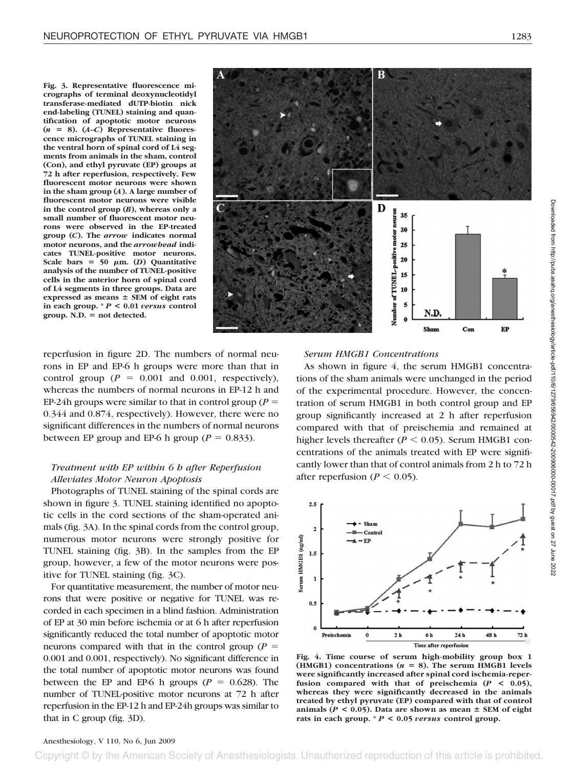**Fig. 3. Representative fluorescence micrographs of terminal deoxynucleotidyl transferase-mediated dUTP-biotin nick end-labeling (TUNEL) staining and quantification of apoptotic motor neurons**  $(n = 8)$ .  $(A-C)$  Representative fluores**cence micrographs of TUNEL staining in the ventral horn of spinal cord of L4 segments from animals in the sham, control (Con), and ethyl pyruvate (EP) groups at 72 h after reperfusion, respectively. Few fluorescent motor neurons were shown in the sham group (***A***). A large number of fluorescent motor neurons were visible in the control group (***B***), whereas only a small number of fluorescent motor neurons were observed in the EP-treated group (***C***). The** *arrow* **indicates normal motor neurons, and the** *arrowhead* **indicates TUNEL-positive motor neurons.** Scale bars =  $50 \mu m$ . (*D*) Quantitative **analysis of the number of TUNEL-positive cells in the anterior horn of spinal cord of L4 segments in three groups. Data are expressed as means SEM of eight rats in each group. \*** *P* **< 0.01** *versus* **control**  $group. N.D. = not detected.$ 

D 35 30 em  $25$ positive 20 Number of TUNEL 15 10 5 N.D Sham  $Con$ EP

reperfusion in figure 2D. The numbers of normal neurons in EP and EP-6 h groups were more than that in control group  $(P = 0.001$  and 0.001, respectively), whereas the numbers of normal neurons in EP-12 h and EP-24h groups were similar to that in control group ( $P =$ 0.344 and 0.874, respectively). However, there were no significant differences in the numbers of normal neurons between EP group and EP-6 h group ( $P = 0.833$ ).

# *Treatment with EP within 6 h after Reperfusion Alleviates Motor Neuron Apoptosis*

Photographs of TUNEL staining of the spinal cords are shown in figure 3. TUNEL staining identified no apoptotic cells in the cord sections of the sham-operated animals (fig. 3A). In the spinal cords from the control group, numerous motor neurons were strongly positive for TUNEL staining (fig. 3B). In the samples from the EP group, however, a few of the motor neurons were positive for TUNEL staining (fig. 3C).

For quantitative measurement, the number of motor neurons that were positive or negative for TUNEL was recorded in each specimen in a blind fashion. Administration of EP at 30 min before ischemia or at 6 h after reperfusion significantly reduced the total number of apoptotic motor neurons compared with that in the control group  $(P =$ 0.001 and 0.001, respectively). No significant difference in the total number of apoptotic motor neurons was found between the EP and EP-6 h groups  $(P = 0.628)$ . The number of TUNEL-positive motor neurons at 72 h after reperfusion in the EP-12 h and EP-24h groups was similar to that in C group (fig. 3D).

# *Serum HMGB1 Concentrations*

As shown in figure 4, the serum HMGB1 concentrations of the sham animals were unchanged in the period of the experimental procedure. However, the concentration of serum HMGB1 in both control group and EP group significantly increased at 2 h after reperfusion compared with that of preischemia and remained at higher levels thereafter  $(P < 0.05)$ . Serum HMGB1 concentrations of the animals treated with EP were significantly lower than that of control animals from 2 h to 72 h after reperfusion ( $P \le 0.05$ ).



**Fig. 4. Time course of serum high-mobility group box 1**  $(HMGB1)$  concentrations  $(n = 8)$ . The serum HMGB1 levels **were significantly increased after spinal cord ischemia-reperfusion compared with that of preischemia (***P* **< 0.05), whereas they were significantly decreased in the animals treated by ethyl pyruvate (EP) compared with that of control** animals ( $P < 0.05$ ). Data are shown as mean  $\pm$  SEM of eight **rats in each group. \*** *P* **< 0.05** *versus* **control group.**

## Anesthesiology, V 110, No 6, Jun 2009

Copyright © by the American Society of Anesthesiologists. Unauthorized reproduction of this article is prohibited.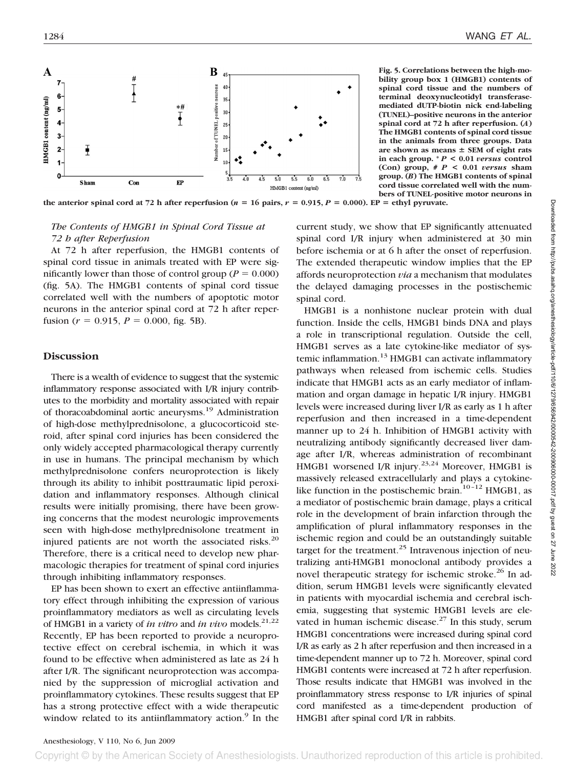

**Fig. 5. Correlations between the high-mobility group box 1 (HMGB1) contents of spinal cord tissue and the numbers of terminal deoxynucleotidyl transferasemediated dUTP-biotin nick end-labeling (TUNEL)–positive neurons in the anterior spinal cord at 72 h after reperfusion. (***A***) The HMGB1 contents of spinal cord tissue in the animals from three groups. Data are shown as means SEM of eight rats in each group. \*** *P* **< 0.01** *versus* **control (Con) group, #** *P* **< 0.01** *versus* **sham group. (***B***) The HMGB1 contents of spinal cord tissue correlated well with the numbers of TUNEL-positive motor neurons in**

the anterior spinal cord at 72 h after reperfusion ( $n = 16$  pairs,  $r = 0.915$ ,  $P = 0.000$ ). EP = ethyl pyruvate.

# *The Contents of HMGB1 in Spinal Cord Tissue at 72 h after Reperfusion*

At 72 h after reperfusion, the HMGB1 contents of spinal cord tissue in animals treated with EP were significantly lower than those of control group ( $P = 0.000$ ) (fig. 5A). The HMGB1 contents of spinal cord tissue correlated well with the numbers of apoptotic motor neurons in the anterior spinal cord at 72 h after reperfusion ( $r = 0.915$ ,  $P = 0.000$ , fig. 5B).

## **Discussion**

There is a wealth of evidence to suggest that the systemic inflammatory response associated with I/R injury contributes to the morbidity and mortality associated with repair of thoracoabdominal aortic aneurysms.<sup>19</sup> Administration of high-dose methylprednisolone, a glucocorticoid steroid, after spinal cord injuries has been considered the only widely accepted pharmacological therapy currently in use in humans. The principal mechanism by which methylprednisolone confers neuroprotection is likely through its ability to inhibit posttraumatic lipid peroxidation and inflammatory responses. Although clinical results were initially promising, there have been growing concerns that the modest neurologic improvements seen with high-dose methylprednisolone treatment in injured patients are not worth the associated risks.<sup>20</sup> Therefore, there is a critical need to develop new pharmacologic therapies for treatment of spinal cord injuries through inhibiting inflammatory responses.

EP has been shown to exert an effective antiinflammatory effect through inhibiting the expression of various proinflammatory mediators as well as circulating levels of HMGB1 in a variety of *in vitro* and *in vivo* models.<sup>21,22</sup> Recently, EP has been reported to provide a neuroprotective effect on cerebral ischemia, in which it was found to be effective when administered as late as 24 h after I/R. The significant neuroprotection was accompanied by the suppression of microglial activation and proinflammatory cytokines. These results suggest that EP has a strong protective effect with a wide therapeutic window related to its antiinflammatory action.<sup>9</sup> In the

current study, we show that EP significantly attenuated spinal cord I/R injury when administered at 30 min before ischemia or at 6 h after the onset of reperfusion. The extended therapeutic window implies that the EP affords neuroprotection *via* a mechanism that modulates the delayed damaging processes in the postischemic spinal cord.

HMGB1 is a nonhistone nuclear protein with dual function. Inside the cells, HMGB1 binds DNA and plays a role in transcriptional regulation. Outside the cell, HMGB1 serves as a late cytokine-like mediator of systemic inflammation.<sup>13</sup> HMGB1 can activate inflammatory pathways when released from ischemic cells. Studies indicate that HMGB1 acts as an early mediator of inflammation and organ damage in hepatic I/R injury. HMGB1 levels were increased during liver I/R as early as 1 h after reperfusion and then increased in a time-dependent manner up to 24 h. Inhibition of HMGB1 activity with neutralizing antibody significantly decreased liver damage after I/R, whereas administration of recombinant HMGB1 worsened I/R injury.<sup>23,24</sup> Moreover, HMGB1 is massively released extracellularly and plays a cytokinelike function in the postischemic brain.<sup>10–12</sup> HMGB1, as a mediator of postischemic brain damage, plays a critical role in the development of brain infarction through the amplification of plural inflammatory responses in the ischemic region and could be an outstandingly suitable target for the treatment.<sup>25</sup> Intravenous injection of neutralizing anti-HMGB1 monoclonal antibody provides a novel therapeutic strategy for ischemic stroke.<sup>26</sup> In addition, serum HMGB1 levels were significantly elevated in patients with myocardial ischemia and cerebral ischemia, suggesting that systemic HMGB1 levels are elevated in human ischemic disease. $27$  In this study, serum HMGB1 concentrations were increased during spinal cord I/R as early as 2 h after reperfusion and then increased in a time-dependent manner up to 72 h. Moreover, spinal cord HMGB1 contents were increased at 72 h after reperfusion. Those results indicate that HMGB1 was involved in the proinflammatory stress response to I/R injuries of spinal cord manifested as a time-dependent production of HMGB1 after spinal cord I/R in rabbits.

Copyright © by the American Society of Anesthesiologists. Unauthorized reproduction of this article is prohibited.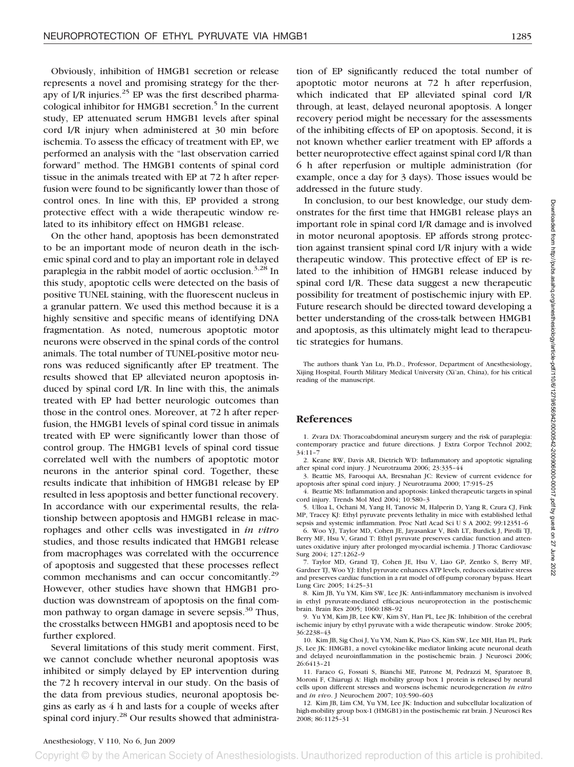Obviously, inhibition of HMGB1 secretion or release represents a novel and promising strategy for the therapy of I/R injuries. $^{25}$  EP was the first described pharmacological inhibitor for HMGB1 secretion.<sup>5</sup> In the current study, EP attenuated serum HMGB1 levels after spinal cord I/R injury when administered at 30 min before ischemia. To assess the efficacy of treatment with EP, we performed an analysis with the "last observation carried forward" method. The HMGB1 contents of spinal cord tissue in the animals treated with EP at 72 h after reperfusion were found to be significantly lower than those of control ones. In line with this, EP provided a strong protective effect with a wide therapeutic window related to its inhibitory effect on HMGB1 release.

On the other hand, apoptosis has been demonstrated to be an important mode of neuron death in the ischemic spinal cord and to play an important role in delayed paraplegia in the rabbit model of aortic occlusion.<sup>3,28</sup> In this study, apoptotic cells were detected on the basis of positive TUNEL staining, with the fluorescent nucleus in a granular pattern. We used this method because it is a highly sensitive and specific means of identifying DNA fragmentation. As noted, numerous apoptotic motor neurons were observed in the spinal cords of the control animals. The total number of TUNEL-positive motor neurons was reduced significantly after EP treatment. The results showed that EP alleviated neuron apoptosis induced by spinal cord I/R. In line with this, the animals treated with EP had better neurologic outcomes than those in the control ones. Moreover, at 72 h after reperfusion, the HMGB1 levels of spinal cord tissue in animals treated with EP were significantly lower than those of control group. The HMGB1 levels of spinal cord tissue correlated well with the numbers of apoptotic motor neurons in the anterior spinal cord. Together, these results indicate that inhibition of HMGB1 release by EP resulted in less apoptosis and better functional recovery. In accordance with our experimental results, the relationship between apoptosis and HMGB1 release in macrophages and other cells was investigated in *in vitro* studies, and those results indicated that HMGB1 release from macrophages was correlated with the occurrence of apoptosis and suggested that these processes reflect common mechanisms and can occur concomitantly.<sup>29</sup> However, other studies have shown that HMGB1 production was downstream of apoptosis on the final common pathway to organ damage in severe sepsis.<sup>30</sup> Thus, the crosstalks between HMGB1 and apoptosis need to be further explored.

Several limitations of this study merit comment. First, we cannot conclude whether neuronal apoptosis was inhibited or simply delayed by EP intervention during the 72 h recovery interval in our study. On the basis of the data from previous studies, neuronal apoptosis begins as early as 4 h and lasts for a couple of weeks after spinal cord injury.<sup>28</sup> Our results showed that administration of EP significantly reduced the total number of apoptotic motor neurons at 72 h after reperfusion, which indicated that EP alleviated spinal cord I/R through, at least, delayed neuronal apoptosis. A longer recovery period might be necessary for the assessments of the inhibiting effects of EP on apoptosis. Second, it is not known whether earlier treatment with EP affords a better neuroprotective effect against spinal cord I/R than 6 h after reperfusion or multiple administration (for example, once a day for 3 days). Those issues would be addressed in the future study.

In conclusion, to our best knowledge, our study demonstrates for the first time that HMGB1 release plays an important role in spinal cord I/R damage and is involved in motor neuronal apoptosis. EP affords strong protection against transient spinal cord I/R injury with a wide therapeutic window. This protective effect of EP is related to the inhibition of HMGB1 release induced by spinal cord I/R. These data suggest a new therapeutic possibility for treatment of postischemic injury with EP. Future research should be directed toward developing a better understanding of the cross-talk between HMGB1 and apoptosis, as this ultimately might lead to therapeutic strategies for humans.

The authors thank Yan Lu, Ph.D., Professor, Department of Anesthesiology, Xijing Hospital, Fourth Military Medical University (Xi'an, China), for his critical reading of the manuscript.

## **References**

1. Zvara DA: Thoracoabdominal aneurysm surgery and the risk of paraplegia: contemporary practice and future directions. J Extra Corpor Technol 2002; 34:11–7

2. Keane RW, Davis AR, Dietrich WD: Inflammatory and apoptotic signaling after spinal cord injury. J Neurotrauma 2006; 23:335–44

3. Beattie MS, Farooqui AA, Bresnahan JC: Review of current evidence for apoptosis after spinal cord injury. J Neurotrauma 2000; 17:915–25

4. Beattie MS: Inflammation and apoptosis: Linked therapeutic targets in spinal cord injury. Trends Mol Med 2004; 10:580–3

5. Ulloa L, Ochani M, Yang H, Tanovic M, Halperin D, Yang R, Czura CJ, Fink MP, Tracey KJ: Ethyl pyruvate prevents lethality in mice with established lethal sepsis and systemic inflammation. Proc Natl Acad Sci U S A 2002; 99:12351-6

6. Woo YJ, Taylor MD, Cohen JE, Jayasankar V, Bish LT, Burdick J, Pirolli TJ, Berry MF, Hsu V, Grand T: Ethyl pyruvate preserves cardiac function and attenuates oxidative injury after prolonged myocardial ischemia. J Thorac Cardiovasc Surg 2004; 127:1262–9

7. Taylor MD, Grand TJ, Cohen JE, Hsu V, Liao GP, Zentko S, Berry MF, Gardner TJ, Woo YJ: Ethyl pyruvate enhances ATP levels, reduces oxidative stress and preserves cardiac function in a rat model of off-pump coronary bypass. Heart Lung Circ 2005; 14:25–31

8. Kim JB, Yu YM, Kim SW, Lee JK: Anti-inflammatory mechanism is involved in ethyl pyruvate-mediated efficacious neuroprotection in the postischemic brain. Brain Res 2005; 1060:188–92

9. Yu YM, Kim JB, Lee KW, Kim SY, Han PL, Lee JK: Inhibition of the cerebral ischemic injury by ethyl pyruvate with a wide therapeutic window. Stroke 2005; 36:2238–43

10. Kim JB, Sig Choi J, Yu YM, Nam K, Piao CS, Kim SW, Lee MH, Han PL, Park JS, Lee JK: HMGB1, a novel cytokine-like mediator linking acute neuronal death and delayed neuroinflammation in the postischemic brain. J Neurosci 2006; 26:6413–21

11. Faraco G, Fossati S, Bianchi ME, Patrone M, Pedrazzi M, Sparatore B, Moroni F, Chiarugi A: High mobility group box 1 protein is released by neural cells upon different stresses and worsens ischemic neurodegeneration *in vitro* and *in vivo*. J Neurochem 2007; 103:590–603

12. Kim JB, Lim CM, Yu YM, Lee JK: Induction and subcellular localization of high-mobility group box-1 (HMGB1) in the postischemic rat brain. J Neurosci Res 2008; 86:1125–31